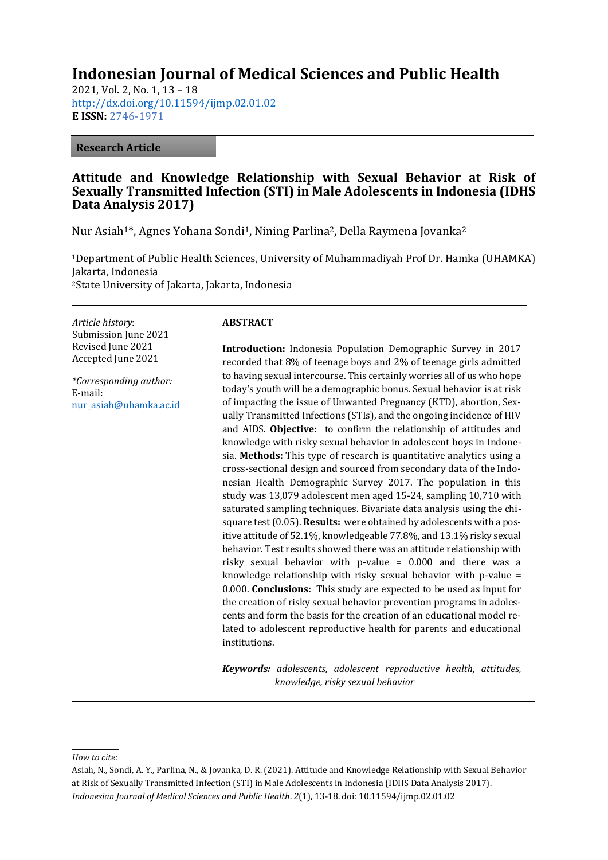# **Indonesian Journal of Medical Sciences and Public Health**

2021, Vol. 2, No. 1, 13 – 18 <http://dx.doi.org/10.11594/ijmp.02.01.02> **E ISSN:** [2746-1971](https://issn.lipi.go.id/terbit/detail/1599795286)

#### **Research Article**

# **Attitude and Knowledge Relationship with Sexual Behavior at Risk of Sexually Transmitted Infection (STI) in Male Adolescents in Indonesia (IDHS Data Analysis 2017)**

Nur Asiah<sup>1\*</sup>, Agnes Yohana Sondi<sup>1</sup>, Nining Parlina<sup>2</sup>, Della Raymena Jovanka<sup>2</sup>

<sup>1</sup>Department of Public Health Sciences, University of Muhammadiyah Prof Dr. Hamka (UHAMKA) Jakarta, Indonesia <sup>2</sup>State University of Jakarta, Jakarta, Indonesia

*Article history*: Submission June 2021 Revised June 2021 Accepted June 2021

*\*Corresponding author:* E-mail: [nur\\_asiah@uhamka.ac.id](mailto:nur_asiah@uhamka.ac.id)

### **ABSTRACT**

**Introduction:** Indonesia Population Demographic Survey in 2017 recorded that 8% of teenage boys and 2% of teenage girls admitted to having sexual intercourse. This certainly worries all of us who hope today's youth will be a demographic bonus. Sexual behavior is at risk of impacting the issue of Unwanted Pregnancy (KTD), abortion, Sexually Transmitted Infections (STIs), and the ongoing incidence of HIV and AIDS. **Objective:** to confirm the relationship of attitudes and knowledge with risky sexual behavior in adolescent boys in Indonesia. **Methods:** This type of research is quantitative analytics using a cross-sectional design and sourced from secondary data of the Indonesian Health Demographic Survey 2017. The population in this study was 13,079 adolescent men aged 15-24, sampling 10,710 with saturated sampling techniques. Bivariate data analysis using the chisquare test (0.05). **Results:** were obtained by adolescents with a positive attitude of 52.1%, knowledgeable 77.8%, and 13.1% risky sexual behavior. Test results showed there was an attitude relationship with risky sexual behavior with p-value = 0.000 and there was a knowledge relationship with risky sexual behavior with p-value = 0.000. **Conclusions:** This study are expected to be used as input for the creation of risky sexual behavior prevention programs in adolescents and form the basis for the creation of an educational model related to adolescent reproductive health for parents and educational institutions.

*Keywords: adolescents, adolescent reproductive health, attitudes, knowledge, risky sexual behavior*

#### *How to cite:*

Asiah, N., Sondi, A. Y., Parlina, N., & Jovanka, D. R. (2021). Attitude and Knowledge Relationship with Sexual Behavior at Risk of Sexually Transmitted Infection (STI) in Male Adolescents in Indonesia (IDHS Data Analysis 2017). *Indonesian Journal of Medical Sciences and Public Health*. *2*(1), 13-18. doi: 10.11594/ijmp.02.01.02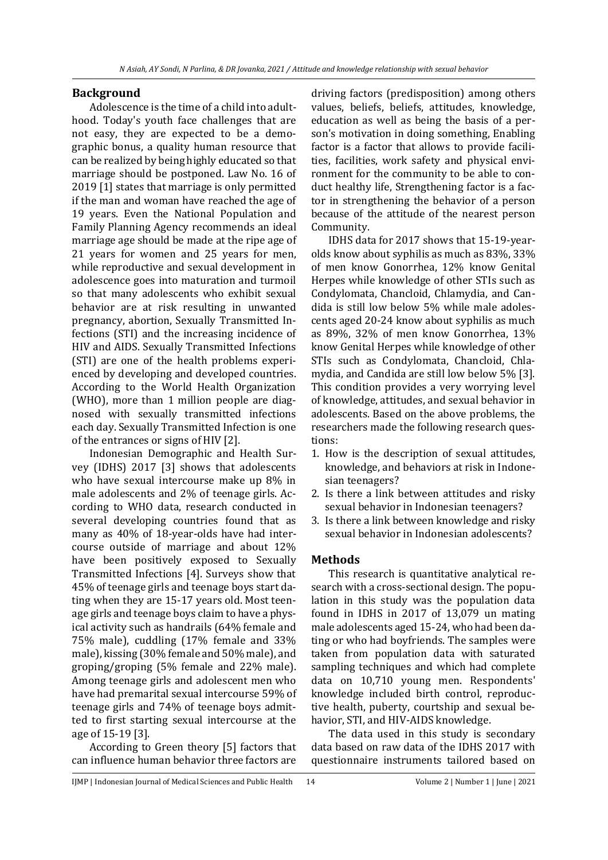### **Background**

Adolescence is the time of a child into adulthood. Today's youth face challenges that are not easy, they are expected to be a demographic bonus, a quality human resource that can be realized by being highly educated so that marriage should be postponed. Law No. 16 of 2019 [1] states that marriage is only permitted if the man and woman have reached the age of 19 years. Even the National Population and Family Planning Agency recommends an ideal marriage age should be made at the ripe age of 21 years for women and 25 years for men, while reproductive and sexual development in adolescence goes into maturation and turmoil so that many adolescents who exhibit sexual behavior are at risk resulting in unwanted pregnancy, abortion, Sexually Transmitted Infections (STI) and the increasing incidence of HIV and AIDS. Sexually Transmitted Infections (STI) are one of the health problems experienced by developing and developed countries. According to the World Health Organization (WHO), more than 1 million people are diagnosed with sexually transmitted infections each day. Sexually Transmitted Infection is one of the entrances or signs of HIV [2].

Indonesian Demographic and Health Survey (IDHS) 2017 [3] shows that adolescents who have sexual intercourse make up 8% in male adolescents and 2% of teenage girls. According to WHO data, research conducted in several developing countries found that as many as 40% of 18-year-olds have had intercourse outside of marriage and about 12% have been positively exposed to Sexually Transmitted Infections [4]. Surveys show that 45% of teenage girls and teenage boys start dating when they are 15-17 years old. Most teenage girls and teenage boys claim to have a physical activity such as handrails (64% female and 75% male), cuddling (17% female and 33% male), kissing (30% female and 50% male), and groping/groping (5% female and 22% male). Among teenage girls and adolescent men who have had premarital sexual intercourse 59% of teenage girls and 74% of teenage boys admitted to first starting sexual intercourse at the age of 15-19 [3].

According to Green theory [5] factors that can influence human behavior three factors are

driving factors (predisposition) among others values, beliefs, beliefs, attitudes, knowledge, education as well as being the basis of a person's motivation in doing something, Enabling factor is a factor that allows to provide facilities, facilities, work safety and physical environment for the community to be able to conduct healthy life, Strengthening factor is a factor in strengthening the behavior of a person because of the attitude of the nearest person Community.

IDHS data for 2017 shows that 15-19-yearolds know about syphilis as much as 83%, 33% of men know Gonorrhea, 12% know Genital Herpes while knowledge of other STIs such as Condylomata, Chancloid, Chlamydia, and Candida is still low below 5% while male adolescents aged 20-24 know about syphilis as much as 89%, 32% of men know Gonorrhea, 13% know Genital Herpes while knowledge of other STIs such as Condylomata, Chancloid, Chlamydia, and Candida are still low below 5% [3]. This condition provides a very worrying level of knowledge, attitudes, and sexual behavior in adolescents. Based on the above problems, the researchers made the following research questions:

- 1. How is the description of sexual attitudes, knowledge, and behaviors at risk in Indonesian teenagers?
- 2. Is there a link between attitudes and risky sexual behavior in Indonesian teenagers?
- 3. Is there a link between knowledge and risky sexual behavior in Indonesian adolescents?

#### **Methods**

This research is quantitative analytical research with a cross-sectional design. The population in this study was the population data found in IDHS in 2017 of 13,079 un mating male adolescents aged 15-24, who had been dating or who had boyfriends. The samples were taken from population data with saturated sampling techniques and which had complete data on 10,710 young men. Respondents' knowledge included birth control, reproductive health, puberty, courtship and sexual behavior, STI, and HIV-AIDS knowledge.

The data used in this study is secondary data based on raw data of the IDHS 2017 with questionnaire instruments tailored based on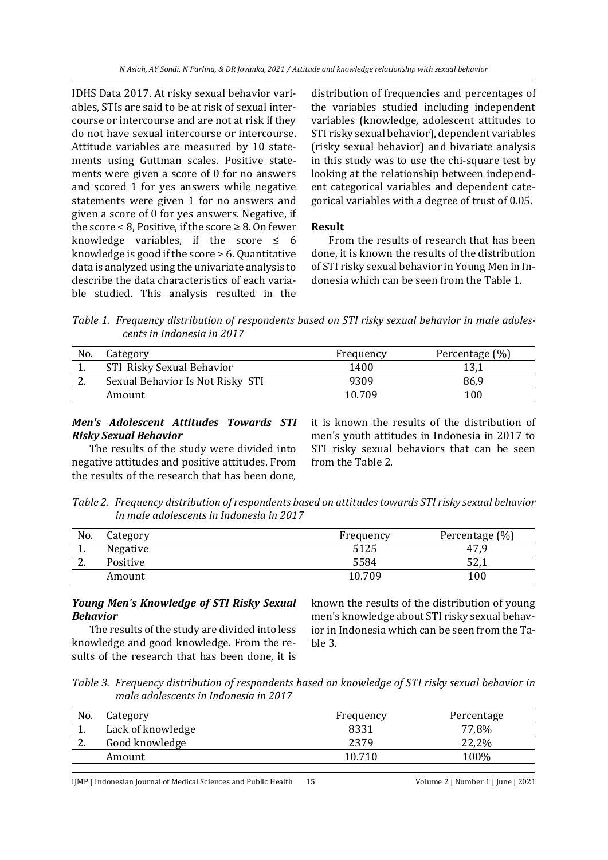IDHS Data 2017. At risky sexual behavior variables, STIs are said to be at risk of sexual intercourse or intercourse and are not at risk if they do not have sexual intercourse or intercourse. Attitude variables are measured by 10 statements using Guttman scales. Positive statements were given a score of 0 for no answers and scored 1 for yes answers while negative statements were given 1 for no answers and given a score of 0 for yes answers. Negative, if the score  $< 8$ , Positive, if the score  $\geq 8$ . On fewer knowledge variables, if the score  $\leq 6$ knowledge is good if the score > 6. Quantitative data is analyzed using the univariate analysis to describe the data characteristics of each variable studied. This analysis resulted in the

distribution of frequencies and percentages of the variables studied including independent variables (knowledge, adolescent attitudes to STI risky sexual behavior), dependent variables (risky sexual behavior) and bivariate analysis in this study was to use the chi-square test by looking at the relationship between independent categorical variables and dependent categorical variables with a degree of trust of 0.05.

# **Result**

From the results of research that has been done, it is known the results of the distribution of STI risky sexual behavior in Young Men in Indonesia which can be seen from the Table 1.

*Table 1. Frequency distribution of respondents based on STI risky sexual behavior in male adolescents in Indonesia in 2017*

| No.      | Category                         | Frequency | Percentage (%) |
|----------|----------------------------------|-----------|----------------|
|          | STI Risky Sexual Behavior        | 1400      |                |
| <u>.</u> | Sexual Behavior Is Not Risky STI | 9309      | 86,9           |
|          | Amount                           | 10.709    | 100            |

# *Men's Adolescent Attitudes Towards STI Risky Sexual Behavior*

The results of the study were divided into negative attitudes and positive attitudes. From the results of the research that has been done,

it is known the results of the distribution of men's youth attitudes in Indonesia in 2017 to STI risky sexual behaviors that can be seen from the Table 2.

*Table 2. Frequency distribution of respondents based on attitudes towards STI risky sexual behavior in male adolescents in Indonesia in 2017*

| No.      | Lategory | Frequency | Percentage (%) |
|----------|----------|-----------|----------------|
| <b>.</b> | Negative | 5125      | 47,9           |
| <u>.</u> | Positive | 5584      | ピク<br>1, 20    |
|          | Amount   | 10.709    | 100            |

# *Young Men's Knowledge of STI Risky Sexual Behavior*

The results of the study are divided into less knowledge and good knowledge. From the results of the research that has been done, it is known the results of the distribution of young men's knowledge about STI risky sexual behavior in Indonesia which can be seen from the Table 3.

*Table 3. Frequency distribution of respondents based on knowledge of STI risky sexual behavior in male adolescents in Indonesia in 2017*

| No.      | Category          | Frequency | Percentage |
|----------|-------------------|-----------|------------|
|          | Lack of knowledge | 8331      | 77,8%      |
| <u>.</u> | Good knowledge    | 2379      | 22,2%      |
|          | Amount            | 10.710    | 100%       |

IJMP | Indonesian Journal of Medical Sciences and Public Health 15 Volume 2 | Number 1 | June | 2021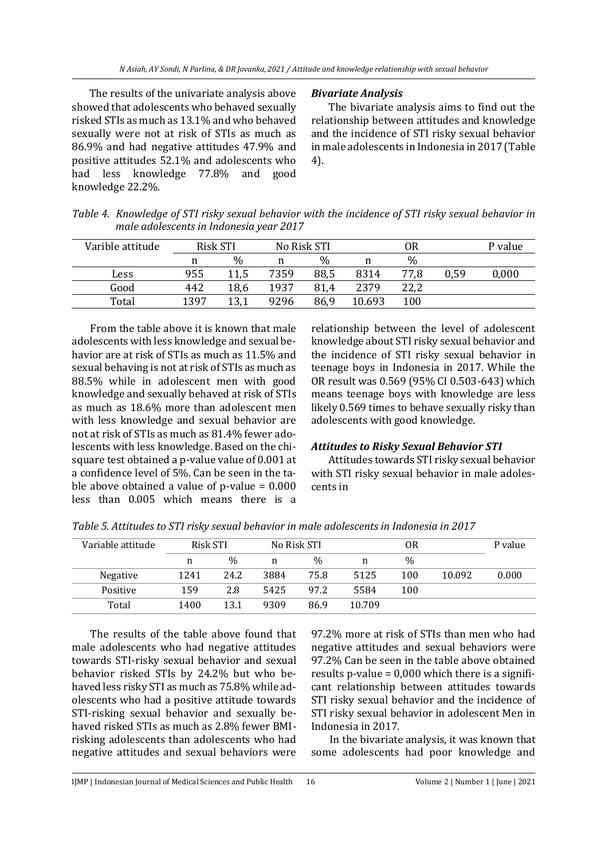The results of the univariate analysis above showed that adolescents who behaved sexually risked STIs as much as 13.1% and who behaved sexually were not at risk of STIs as much as 86.9% and had negative attitudes 47.9% and positive attitudes 52.1% and adolescents who had less knowledge 77.8% and good knowledge 22.2%.

### *Bivariate Analysis*

The bivariate analysis aims to find out the relationship between attitudes and knowledge and the incidence of STI risky sexual behavior in male adolescents in Indonesia in 2017 (Table 4).

| Table 4. Knowledge of STI risky sexual behavior with the incidence of STI risky sexual behavior in |
|----------------------------------------------------------------------------------------------------|
| male adolescents in Indonesia year 2017                                                            |

| Varible attitude |      | <b>Risk STI</b> |      | No Risk STI |        | 0R   |      | P value |
|------------------|------|-----------------|------|-------------|--------|------|------|---------|
|                  | n    | $\%$            | n    | $\%$        | n      | $\%$ |      |         |
| Less             | 955  | 11,5            | 7359 | 88,5        | 8314   | 77,8 | 0,59 | 0,000   |
| Good             | 442  | 18,6            | 1937 | 81,4        | 2379   | 22,2 |      |         |
| Total            | 1397 | 13.1            | 9296 | 86,9        | 10.693 | 100  |      |         |

From the table above it is known that male adolescents with less knowledge and sexual behavior are at risk of STIs as much as 11.5% and sexual behaving is not at risk of STIs as much as 88.5% while in adolescent men with good knowledge and sexually behaved at risk of STIs as much as 18.6% more than adolescent men with less knowledge and sexual behavior are not at risk of STIs as much as 81.4% fewer adolescents with less knowledge. Based on the chisquare test obtained a p-value value of 0.001 at a confidence level of 5%. Can be seen in the table above obtained a value of p-value  $= 0.000$ less than 0.005 which means there is a

relationship between the level of adolescent knowledge about STI risky sexual behavior and the incidence of STI risky sexual behavior in teenage boys in Indonesia in 2017. While the OR result was 0.569 (95% CI 0.503-643) which means teenage boys with knowledge are less likely 0.569 times to behave sexually risky than adolescents with good knowledge.

## *Attitudes to Risky Sexual Behavior STI*

Attitudes towards STI risky sexual behavior with STI risky sexual behavior in male adolescents in

| Variable attitude | Risk STI |               | No Risk STI |               | 0R     |      |        | P value |
|-------------------|----------|---------------|-------------|---------------|--------|------|--------|---------|
|                   | n        | $\frac{0}{0}$ | n           | $\frac{0}{0}$ | n      | $\%$ |        |         |
| Negative          | 1241     | 24.2          | 3884        | 75.8          | 5125   | 100  | 10.092 | 0.000   |
| Positive          | 159      | 2.8           | 5425        | 97.2          | 5584   | 100  |        |         |
| Total             | 1400     | 13.1          | 9309        | 86.9          | 10.709 |      |        |         |

*Table 5. Attitudes to STI risky sexual behavior in male adolescents in Indonesia in 2017*

The results of the table above found that male adolescents who had negative attitudes towards STI-risky sexual behavior and sexual behavior risked STIs by 24.2% but who behaved less risky STI as much as 75.8% while adolescents who had a positive attitude towards STI-risking sexual behavior and sexually behaved risked STIs as much as 2.8% fewer BMIrisking adolescents than adolescents who had negative attitudes and sexual behaviors were 97.2% more at risk of STIs than men who had negative attitudes and sexual behaviors were 97.2% Can be seen in the table above obtained results p-value  $= 0,000$  which there is a significant relationship between attitudes towards STI risky sexual behavior and the incidence of STI risky sexual behavior in adolescent Men in Indonesia in 2017.

In the bivariate analysis, it was known that some adolescents had poor knowledge and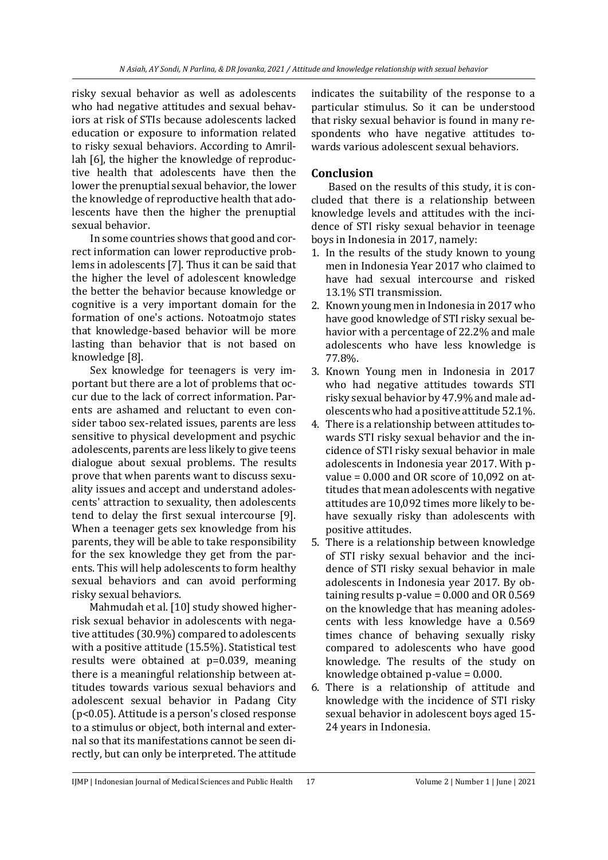risky sexual behavior as well as adolescents who had negative attitudes and sexual behaviors at risk of STIs because adolescents lacked education or exposure to information related to risky sexual behaviors. According to Amrillah [6], the higher the knowledge of reproductive health that adolescents have then the lower the prenuptial sexual behavior, the lower the knowledge of reproductive health that adolescents have then the higher the prenuptial sexual behavior.

In some countries shows that good and correct information can lower reproductive problems in adolescents [7]. Thus it can be said that the higher the level of adolescent knowledge the better the behavior because knowledge or cognitive is a very important domain for the formation of one's actions. Notoatmojo states that knowledge-based behavior will be more lasting than behavior that is not based on knowledge [8].

Sex knowledge for teenagers is very important but there are a lot of problems that occur due to the lack of correct information. Parents are ashamed and reluctant to even consider taboo sex-related issues, parents are less sensitive to physical development and psychic adolescents, parents are less likely to give teens dialogue about sexual problems. The results prove that when parents want to discuss sexuality issues and accept and understand adolescents' attraction to sexuality, then adolescents tend to delay the first sexual intercourse [9]. When a teenager gets sex knowledge from his parents, they will be able to take responsibility for the sex knowledge they get from the parents. This will help adolescents to form healthy sexual behaviors and can avoid performing risky sexual behaviors.

Mahmudah et al. [10] study showed higherrisk sexual behavior in adolescents with negative attitudes (30.9%) compared to adolescents with a positive attitude (15.5%). Statistical test results were obtained at p=0.039, meaning there is a meaningful relationship between attitudes towards various sexual behaviors and adolescent sexual behavior in Padang City (p<0.05). Attitude is a person's closed response to a stimulus or object, both internal and external so that its manifestations cannot be seen directly, but can only be interpreted. The attitude

indicates the suitability of the response to a particular stimulus. So it can be understood that risky sexual behavior is found in many respondents who have negative attitudes towards various adolescent sexual behaviors.

# **Conclusion**

Based on the results of this study, it is concluded that there is a relationship between knowledge levels and attitudes with the incidence of STI risky sexual behavior in teenage boys in Indonesia in 2017, namely:

- 1. In the results of the study known to young men in Indonesia Year 2017 who claimed to have had sexual intercourse and risked 13.1% STI transmission.
- 2. Known young men in Indonesia in 2017 who have good knowledge of STI risky sexual behavior with a percentage of 22.2% and male adolescents who have less knowledge is 77.8%.
- 3. Known Young men in Indonesia in 2017 who had negative attitudes towards STI risky sexual behavior by 47.9% and male adolescents who had a positive attitude 52.1%.
- 4. There is a relationship between attitudes towards STI risky sexual behavior and the incidence of STI risky sexual behavior in male adolescents in Indonesia year 2017. With pvalue =  $0.000$  and OR score of 10,092 on attitudes that mean adolescents with negative attitudes are 10,092 times more likely to behave sexually risky than adolescents with positive attitudes.
- 5. There is a relationship between knowledge of STI risky sexual behavior and the incidence of STI risky sexual behavior in male adolescents in Indonesia year 2017. By obtaining results p-value = 0.000 and OR 0.569 on the knowledge that has meaning adolescents with less knowledge have a 0.569 times chance of behaving sexually risky compared to adolescents who have good knowledge. The results of the study on knowledge obtained p-value = 0.000.
- 6. There is a relationship of attitude and knowledge with the incidence of STI risky sexual behavior in adolescent boys aged 15- 24 years in Indonesia.